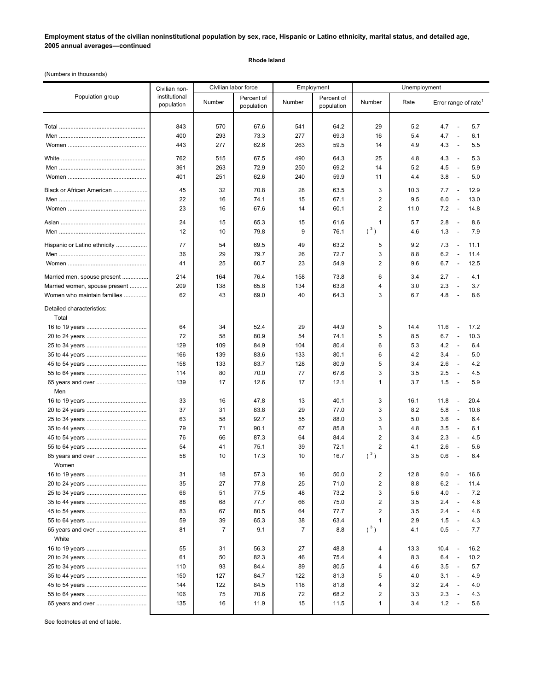**Employment status of the civilian noninstitutional population by sex, race, Hispanic or Latino ethnicity, marital status, and detailed age, 2005 annual averages—continued**

## **Rhode Island**

(Numbers in thousands)

|                               | Civilian non-               | Civilian labor force |                          | Employment     |                          | Unemployment            |      |                                          |
|-------------------------------|-----------------------------|----------------------|--------------------------|----------------|--------------------------|-------------------------|------|------------------------------------------|
| Population group              | institutional<br>population | Number               | Percent of<br>population | Number         | Percent of<br>population | Number                  | Rate | Error range of rate <sup>1</sup>         |
|                               | 843                         | 570                  | 67.6                     | 541            | 64.2                     | 29                      | 5.2  | 4.7<br>5.7<br>$\overline{\phantom{a}}$   |
|                               | 400                         | 293                  | 73.3                     | 277            | 69.3                     | 16                      | 5.4  | 4.7<br>6.1<br>$\overline{\phantom{a}}$   |
|                               | 443                         | 277                  | 62.6                     | 263            | 59.5                     | 14                      | 4.9  | 4.3<br>5.5<br>$\overline{\phantom{a}}$   |
|                               |                             |                      |                          |                |                          |                         |      |                                          |
|                               | 762                         | 515                  | 67.5                     | 490            | 64.3                     | 25                      | 4.8  | 5.3<br>4.3<br>$\overline{\phantom{a}}$   |
|                               | 361                         | 263                  | 72.9                     | 250            | 69.2                     | 14                      | 5.2  | 4.5<br>5.9<br>$\overline{\phantom{a}}$   |
|                               | 401                         | 251                  | 62.6                     | 240            | 59.9                     | 11                      | 4.4  | 3.8<br>5.0<br>$\overline{\phantom{a}}$   |
| Black or African American     | 45                          | 32                   | 70.8                     | 28             | 63.5                     | 3                       | 10.3 | 12.9<br>7.7<br>$\overline{\phantom{a}}$  |
|                               | 22                          | 16                   | 74.1                     | 15             | 67.1                     | 2                       | 9.5  | 6.0<br>13.0<br>$\overline{\phantom{a}}$  |
|                               | 23                          | 16                   | 67.6                     | 14             | 60.1                     | 2                       | 11.0 | 7.2<br>14.8<br>$\overline{\phantom{a}}$  |
|                               | 24                          | 15                   | 65.3                     | 15             | 61.6                     | 1                       | 5.7  | 2.8<br>8.6<br>$\sim$                     |
|                               | 12                          | 10                   | 79.8                     | 9              | 76.1                     | $({}^3)$                | 4.6  | 1.3<br>7.9<br>$\overline{\phantom{a}}$   |
| Hispanic or Latino ethnicity  | 77                          | 54                   | 69.5                     | 49             | 63.2                     | 5                       | 9.2  | 7.3<br>$\overline{a}$<br>11.1            |
|                               | 36                          | 29                   | 79.7                     | 26             | 72.7                     | 3                       | 8.8  | 6.2<br>11.4<br>$\overline{\phantom{a}}$  |
|                               | 41                          | 25                   | 60.7                     | 23             | 54.9                     | 2                       | 9.6  | 6.7<br>12.5<br>$\overline{\phantom{a}}$  |
| Married men, spouse present   | 214                         | 164                  | 76.4                     | 158            | 73.8                     | 6                       | 3.4  | 2.7<br>4.1<br>$\overline{\phantom{a}}$   |
| Married women, spouse present | 209                         | 138                  | 65.8                     | 134            | 63.8                     | $\overline{4}$          | 3.0  | 2.3<br>3.7<br>$\overline{\phantom{a}}$   |
| Women who maintain families   | 62                          | 43                   | 69.0                     | 40             | 64.3                     | 3                       | 6.7  | 4.8<br>8.6<br>$\overline{a}$             |
| Detailed characteristics:     |                             |                      |                          |                |                          |                         |      |                                          |
| Total                         |                             |                      |                          |                |                          |                         |      |                                          |
|                               | 64                          | 34                   | 52.4                     | 29             | 44.9                     | 5                       | 14.4 | 11.6<br>$\overline{\phantom{a}}$<br>17.2 |
|                               | 72                          | 58                   | 80.9                     | 54             | 74.1                     | 5                       | 8.5  | 6.7<br>10.3<br>$\overline{\phantom{a}}$  |
|                               | 129                         | 109                  | 84.9                     | 104            | 80.4                     | 6                       | 5.3  | 4.2<br>6.4<br>$\overline{\phantom{a}}$   |
|                               | 166                         | 139                  | 83.6                     | 133            | 80.1                     | 6                       | 4.2  | 3.4<br>$\overline{a}$<br>5.0             |
|                               | 158                         | 133                  | 83.7                     | 128            | 80.9                     | 5                       | 3.4  | 2.6<br>4.2<br>$\sim$                     |
|                               | 114                         | 80                   | 70.0                     | 77             | 67.6                     | 3                       | 3.5  | 2.5<br>4.5<br>$\overline{\phantom{a}}$   |
|                               | 139                         | 17                   | 12.6                     | 17             | 12.1                     | $\mathbf{1}$            | 3.7  | 1.5<br>5.9<br>$\overline{\phantom{a}}$   |
| Men                           |                             |                      |                          |                |                          |                         |      |                                          |
|                               | 33                          | 16                   | 47.8                     | 13             | 40.1                     | 3                       | 16.1 | 20.4<br>11.8<br>$\overline{\phantom{a}}$ |
|                               | 37                          | 31                   | 83.8                     | 29             | 77.0                     | 3                       | 8.2  | 5.8<br>10.6<br>$\overline{\phantom{a}}$  |
|                               | 63                          | 58                   | 92.7                     | 55             | 88.0                     | 3                       | 5.0  | 3.6<br>6.4<br>$\overline{a}$             |
|                               | 79                          | 71                   | 90.1                     | 67             | 85.8                     | 3                       | 4.8  | 3.5<br>6.1<br>$\overline{\phantom{a}}$   |
|                               | 76                          | 66                   | 87.3                     | 64             | 84.4                     | $\overline{2}$          | 3.4  | 2.3<br>$\overline{\phantom{a}}$<br>4.5   |
|                               | 54                          | 41                   | 75.1                     | 39             | 72.1                     | $\overline{2}$          | 4.1  | 2.6<br>5.6<br>$\overline{\phantom{a}}$   |
| 65 years and over             | 58                          | 10                   | 17.3                     | 10             | 16.7                     | $(^3)$                  | 3.5  | 0.6<br>6.4<br>÷,                         |
| Women                         |                             |                      |                          |                |                          |                         |      |                                          |
|                               | 31                          | 18                   | 57.3                     | 16             | 50.0                     | 2                       | 12.8 | 9.0<br>16.6<br>$\overline{\phantom{m}}$  |
|                               | 35                          | 27                   | 77.8                     | 25             | 71.0                     | $\overline{2}$          | 8.8  | 6.2<br>11.4<br>$\overline{\phantom{a}}$  |
|                               | 66                          | 51                   | 77.5                     | 48             | 73.2                     | 3                       | 5.6  | 4.0<br>7.2<br>$\overline{\phantom{a}}$   |
|                               | 88                          | 68                   | 77.7                     | 66             | 75.0                     | $\overline{2}$          | 3.5  | 2.4<br>4.6<br>$\overline{\phantom{a}}$   |
|                               | 83                          | 67                   | 80.5                     | 64             | 77.7                     | 2                       | 3.5  | 2.4<br>4.6<br>$\overline{\phantom{a}}$   |
|                               | 59                          | 39                   | 65.3                     | 38             | 63.4                     | 1                       | 2.9  | 1.5<br>4.3<br>$\overline{\phantom{a}}$   |
|                               | 81                          | $\overline{7}$       | 9.1                      | $\overline{7}$ | 8.8                      | $(^3)$                  | 4.1  | 0.5<br>7.7<br>$\overline{\phantom{a}}$   |
| White                         | 55                          | 31                   | 56.3                     | 27             | 48.8                     | 4                       | 13.3 | 10.4<br>16.2                             |
|                               | 61                          | 50                   | 82.3                     | 46             | 75.4                     | 4                       | 8.3  | 6.4<br>10.2<br>$\overline{\phantom{a}}$  |
|                               | 110                         | 93                   | 84.4                     | 89             | 80.5                     | 4                       | 4.6  | 3.5<br>5.7<br>$\overline{\phantom{a}}$   |
|                               | 150                         | 127                  | 84.7                     | 122            | 81.3                     | 5                       | 4.0  | 3.1<br>4.9<br>$\overline{\phantom{a}}$   |
|                               | 144                         | 122                  | 84.5                     | 118            | 81.8                     | 4                       | 3.2  | 2.4<br>4.0<br>$\overline{\phantom{a}}$   |
|                               | 106                         | 75                   | 70.6                     | 72             | 68.2                     | $\overline{\mathbf{c}}$ | 3.3  | 2.3<br>4.3<br>$\overline{\phantom{a}}$   |
|                               | 135                         | 16                   | 11.9                     | 15             | 11.5                     | $\mathbf{1}$            | 3.4  | 1.2<br>5.6<br>$\overline{\phantom{a}}$   |
|                               |                             |                      |                          |                |                          |                         |      |                                          |

See footnotes at end of table.